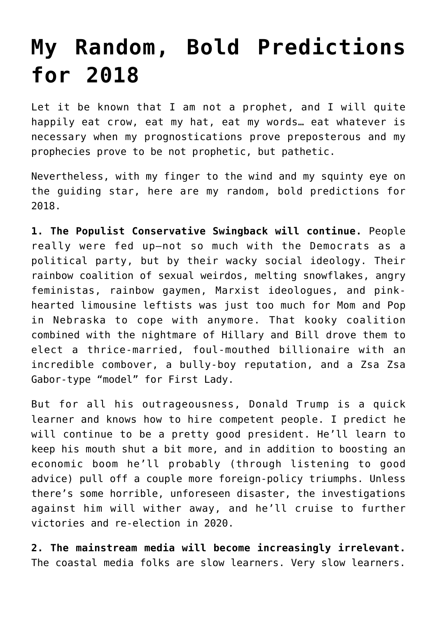## **[My Random, Bold Predictions](https://intellectualtakeout.org/2018/01/my-random-bold-predictions-for-2018/) [for 2018](https://intellectualtakeout.org/2018/01/my-random-bold-predictions-for-2018/)**

Let it be known that I am not a prophet, and I will quite happily eat crow, eat my hat, eat my words… eat whatever is necessary when my prognostications prove preposterous and my prophecies prove to be not prophetic, but pathetic.

Nevertheless, with my finger to the wind and my squinty eye on the guiding star, here are my random, bold predictions for 2018.

**1. The Populist Conservative Swingback will continue.** People really were fed up—not so much with the Democrats as a political party, but by their wacky social ideology. Their rainbow coalition of sexual weirdos, melting snowflakes, angry feministas, rainbow gaymen, Marxist ideologues, and pinkhearted limousine leftists was just too much for Mom and Pop in Nebraska to cope with anymore. That kooky coalition combined with the nightmare of Hillary and Bill drove them to elect a thrice-married, foul-mouthed billionaire with an incredible combover, a bully-boy reputation, and a Zsa Zsa Gabor-type "model" for First Lady.

But for all his outrageousness, Donald Trump is a quick learner and knows how to hire competent people. I predict he will continue to be a pretty good president. He'll learn to keep his mouth shut a bit more, and in addition to boosting an economic boom he'll probably (through listening to good advice) pull off a couple more foreign-policy triumphs. Unless there's some horrible, unforeseen disaster, the investigations against him will wither away, and he'll cruise to further victories and re-election in 2020.

**2. The mainstream media will become increasingly irrelevant.** The coastal media folks are slow learners. Very slow learners.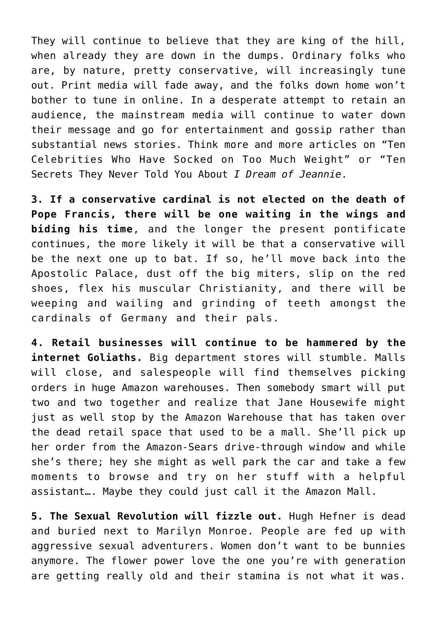They will continue to believe that they are king of the hill, when already they are down in the dumps. Ordinary folks who are, by nature, pretty conservative, will increasingly tune out. Print media will fade away, and the folks down home won't bother to tune in online. In a desperate attempt to retain an audience, the mainstream media will continue to water down their message and go for entertainment and gossip rather than substantial news stories. Think more and more articles on "Ten Celebrities Who Have Socked on Too Much Weight" or "Ten Secrets They Never Told You About *I Dream of Jeannie*.

**3. If a conservative cardinal is not elected on the death of Pope Francis, there will be one waiting in the wings and biding his time**, and the longer the present pontificate continues, the more likely it will be that a conservative will be the next one up to bat. If so, he'll move back into the Apostolic Palace, dust off the big miters, slip on the red shoes, flex his muscular Christianity, and there will be weeping and wailing and grinding of teeth amongst the cardinals of Germany and their pals.

**4. Retail businesses will continue to be hammered by the internet Goliaths.** Big department stores will stumble. Malls will close, and salespeople will find themselves picking orders in huge Amazon warehouses. Then somebody smart will put two and two together and realize that Jane Housewife might just as well stop by the Amazon Warehouse that has taken over the dead retail space that used to be a mall. She'll pick up her order from the Amazon-Sears drive-through window and while she's there; hey she might as well park the car and take a few moments to browse and try on her stuff with a helpful assistant…. Maybe they could just call it the Amazon Mall.

**5. The Sexual Revolution will fizzle out.** Hugh Hefner is dead and buried next to Marilyn Monroe. People are fed up with aggressive sexual adventurers. Women don't want to be bunnies anymore. The flower power love the one you're with generation are getting really old and their stamina is not what it was.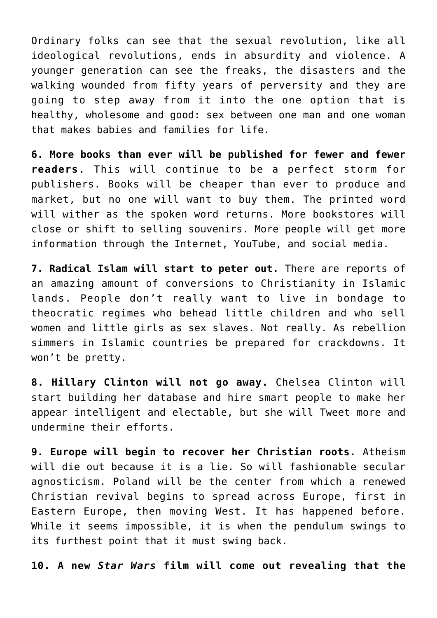Ordinary folks can see that the sexual revolution, like all ideological revolutions, ends in absurdity and violence. A younger generation can see the freaks, the disasters and the walking wounded from fifty years of perversity and they are going to step away from it into the one option that is healthy, wholesome and good: sex between one man and one woman that makes babies and families for life.

**6. More books than ever will be published for fewer and fewer readers.** This will continue to be a perfect storm for publishers. Books will be cheaper than ever to produce and market, but no one will want to buy them. The printed word will wither as the spoken word returns. More bookstores will close or shift to selling souvenirs. More people will get more information through the Internet, YouTube, and social media.

**7. Radical Islam will start to peter out.** There are reports of an amazing amount of conversions to Christianity in Islamic lands. People don't really want to live in bondage to theocratic regimes who behead little children and who sell women and little girls as sex slaves. Not really. As rebellion simmers in Islamic countries be prepared for crackdowns. It won't be pretty.

**8. Hillary Clinton will not go away.** Chelsea Clinton will start building her database and hire smart people to make her appear intelligent and electable, but she will Tweet more and undermine their efforts.

**9. Europe will begin to recover her Christian roots.** Atheism will die out because it is a lie. So will fashionable secular agnosticism. Poland will be the center from which a renewed Christian revival begins to spread across Europe, first in Eastern Europe, then moving West. It has happened before. While it seems impossible, it is when the pendulum swings to its furthest point that it must swing back.

**10. A new** *Star Wars* **film will come out revealing that the**